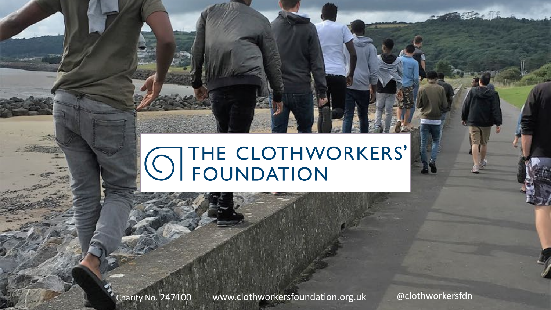# O THE CLOTHWORKERS'

-<br>Charity No. 247100 www.clothworkersfoundation.org.uk @clothworkersfdn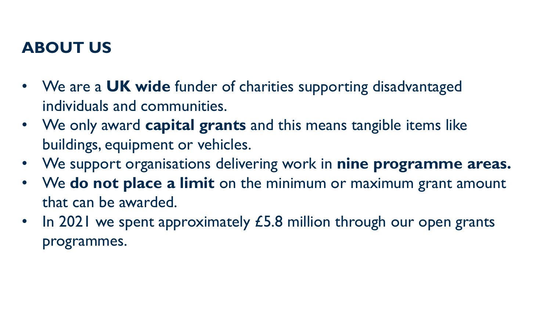#### **ABOUT US**

- We are a **UK wide** funder of charities supporting disadvantaged individuals and communities.
- We only award **capital grants** and this means tangible items like buildings, equipment or vehicles.
- We support organisations delivering work in **nine programme areas.**
- We **do not place a limit** on the minimum or maximum grant amount that can be awarded.
- In 2021 we spent approximately  $E$ 5.8 million through our open grants programmes.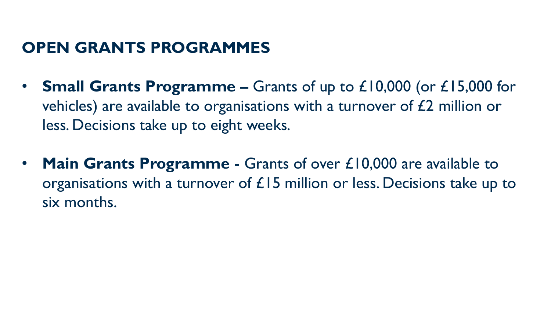#### **OPEN GRANTS PROGRAMMES**

- **Small Grants Programme –** Grants of up to £10,000 (or £15,000 for vehicles) are available to organisations with a turnover of £2 million or less. Decisions take up to eight weeks.
- **Main Grants Programme -** Grants of over £10,000 are available to organisations with a turnover of  $£15$  million or less. Decisions take up to six months.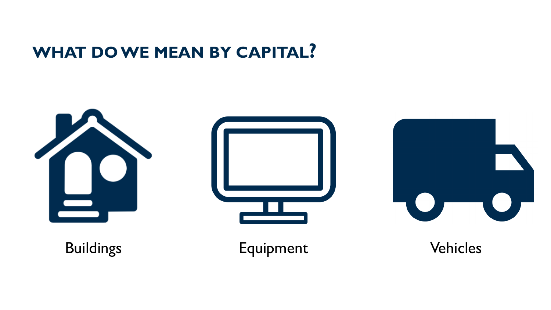#### **WHAT DO WE MEAN BY CAPITAL?**

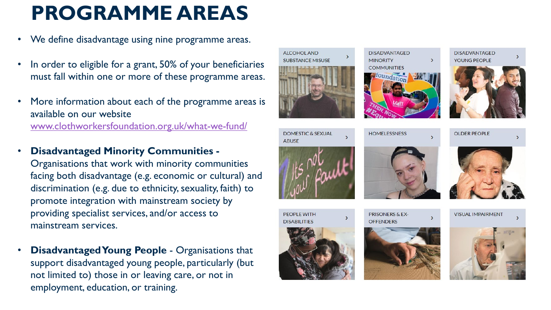#### **PROGRAMME AREAS**

- We define disadvantage using nine programme areas.
- In order to eligible for a grant, 50% of your beneficiaries must fall within one or more of these programme areas.
- More information about each of the programme areas is available on our website [www.clothworkersfoundation.org.uk/what-we-fund/](http://www.clothworkersfoundation.org.uk/what-we-fund/)
- **Disadvantaged Minority Communities -** Organisations that work with minority communities facing both disadvantage (e.g. economic or cultural) and discrimination (e.g. due to ethnicity, sexuality, faith) to promote integration with mainstream society by providing specialist services, and/or access to mainstream services.
- **Disadvantaged Young People**  Organisations that support disadvantaged young people, particularly (but not limited to) those in or leaving care, or not in employment, education, or training.



**ALCOHOL AND** 

**SUBSTANCE MISUSE** 



**PRISONERS & EX-OFFENDERS** 

**DISADVANTAGED** 

**COMMUNITIES** foundation

**HOMELESSNESS** 

**MINORITY** 







**VISUAL IMPAIRMENT** 

**DISADVANTAGED** YOUNG PEOPLE



**OLDER PEOPLE** 



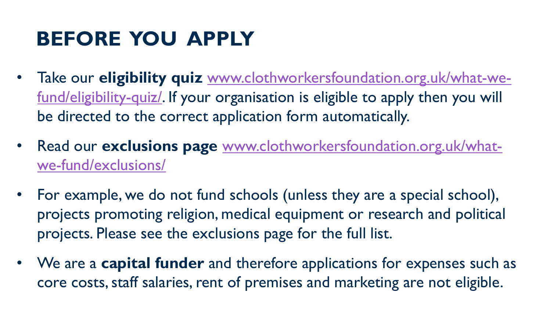# **BEFORE YOU APPLY**

- Take our **eligibility quiz** [www.clothworkersfoundation.org.uk/what-we](http://www.clothworkersfoundation.org.uk/what-we-fund/eligibility-quiz/)[fund/eligibility-quiz/](http://www.clothworkersfoundation.org.uk/what-we-fund/eligibility-quiz/). If your organisation is eligible to apply then you will be directed to the correct application form automatically.
- Read our **exclusions page** [www.clothworkersfoundation.org.uk/what](http://www.clothworkersfoundation.org.uk/what-we-fund/exclusions/)[we-fund/exclusions/](http://www.clothworkersfoundation.org.uk/what-we-fund/exclusions/)
- For example, we do not fund schools (unless they are a special school), projects promoting religion, medical equipment or research and political projects. Please see the exclusions page for the full list.
- We are a **capital funder** and therefore applications for expenses such as core costs, staff salaries, rent of premises and marketing are not eligible.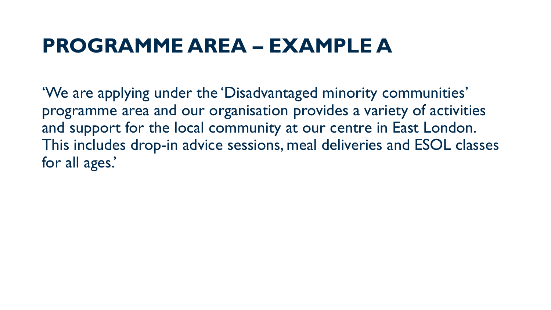#### **PROGRAMME AREA – EXAMPLE A**

'We are applying under the 'Disadvantaged minority communities' programme area and our organisation provides a variety of activities and support for the local community at our centre in East London. This includes drop-in advice sessions, meal deliveries and ESOL classes for all ages.'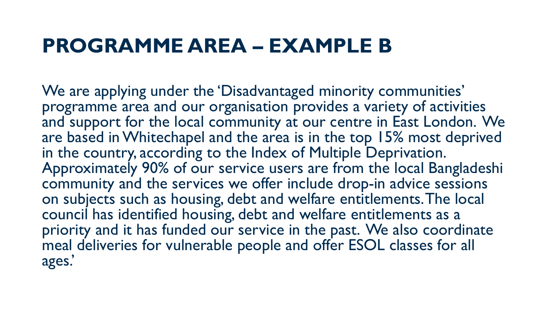#### **PROGRAMME AREA – EXAMPLE B**

We are applying under the 'Disadvantaged minority communities' programme area and our organisation provides a variety of activities and support for the local community at our centre in East London. We are based in Whitechapel and the area is in the top 15% most deprived in the country, according to the Index of Multiple Deprivation. Approximately 90% of our service users are from the local Bangladeshi community and the services we offer include drop-in advice sessions on subjects such as housing, debt and welfare entitlements. The local council has identified housing, debt and welfare entitlements as a priority and it has funded our service in the past. We also coordinate meal deliveries for vulnerable people and offer ESOL classes for all ages.'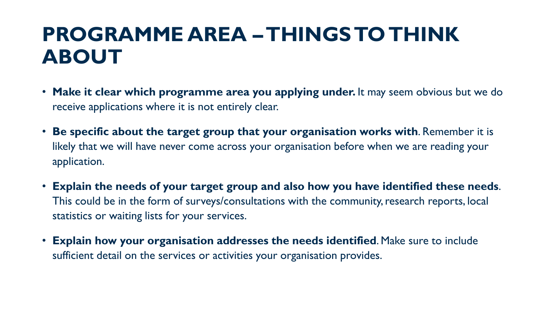#### **PROGRAMME AREA –THINGS TO THINK ABOUT**

- **Make it clear which programme area you applying under.** It may seem obvious but we do receive applications where it is not entirely clear.
- **Be specific about the target group that your organisation works with**. Remember it is likely that we will have never come across your organisation before when we are reading your application.
- **Explain the needs of your target group and also how you have identified these needs**. This could be in the form of surveys/consultations with the community, research reports, local statistics or waiting lists for your services.
- **Explain how your organisation addresses the needs identified**. Make sure to include sufficient detail on the services or activities your organisation provides.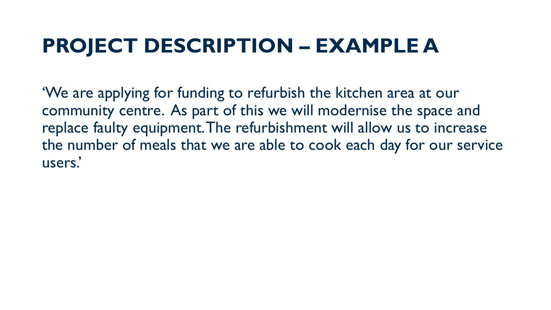#### **PROJECT DESCRIPTION – EXAMPLE A**

'We are applying for funding to refurbish the kitchen area at our community centre. As part of this we will modernise the space and replace faulty equipment. The refurbishment will allow us to increase the number of meals that we are able to cook each day for our service users.'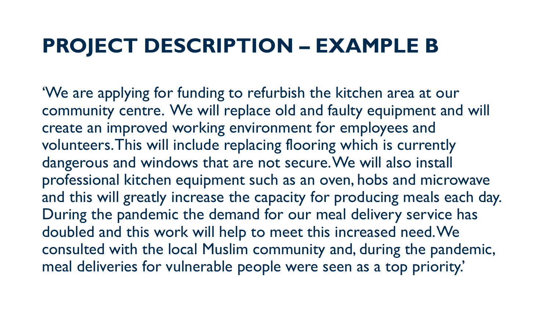#### **PROJECT DESCRIPTION – EXAMPLE B**

'We are applying for funding to refurbish the kitchen area at our community centre. We will replace old and faulty equipment and will create an improved working environment for employees and volunteers. This will include replacing flooring which is currently dangerous and windows that are not secure. We will also install professional kitchen equipment such as an oven, hobs and microwave and this will greatly increase the capacity for producing meals each day. During the pandemic the demand for our meal delivery service has doubled and this work will help to meet this increased need. We consulted with the local Muslim community and, during the pandemic, meal deliveries for vulnerable people were seen as a top priority.'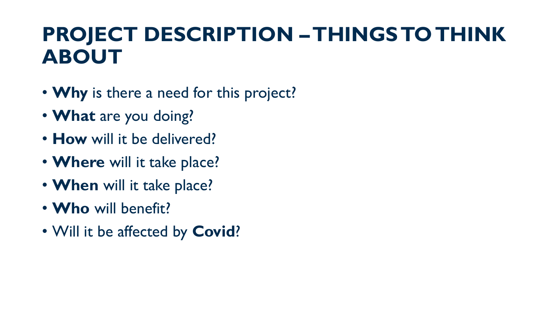#### **PROJECT DESCRIPTION –THINGS TO THINK ABOUT**

- **Why** is there a need for this project?
- **What** are you doing?
- **How** will it be delivered?
- **Where** will it take place?
- **When** will it take place?
- **Who** will benefit?
- Will it be affected by **Covid**?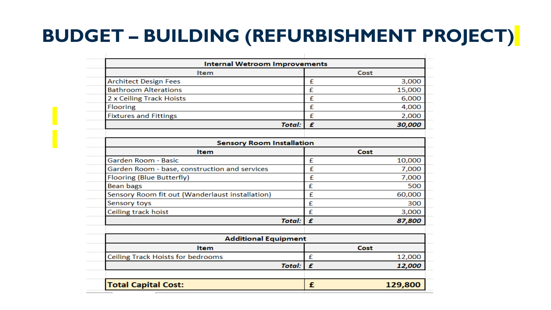#### **BUDGET – BUILDING (REFURBISHMENT PROJECT)**

| <b>Internal Wetroom Improvements</b>            |                    |              |
|-------------------------------------------------|--------------------|--------------|
| Item                                            |                    | Cost         |
| <b>Architect Design Fees</b>                    |                    | £<br>3,000   |
| <b>Bathroom Alterations</b>                     | £                  | 15,000       |
| 2 x Ceiling Track Hoists                        |                    | £<br>6,000   |
| <b>Flooring</b>                                 |                    | £<br>4,000   |
| <b>Fixtures and Fittings</b>                    |                    | £<br>2,000   |
|                                                 | <b>Total:</b><br>£ | 30,000       |
|                                                 |                    |              |
| <b>Sensory Room Installation</b>                |                    |              |
| <b>Item</b>                                     |                    | Cost         |
| Garden Room - Basic                             | £                  | 10,000       |
| Garden Room - base, construction and services   | £                  | 7,000        |
| Flooring (Blue Butterfly)                       | £                  | 7,000        |
| Bean bags                                       | £                  | 500          |
| Sensory Room fit out (Wanderlaust installation) | £                  | 60,000       |
| Sensory toys                                    | £                  | 300          |
| Ceiling track hoist                             | £                  | 3,000        |
|                                                 | <b>Total:</b><br>£ | 87,800       |
|                                                 |                    |              |
| <b>Additional Equipment</b>                     |                    |              |
| <b>Item</b>                                     |                    | Cost         |
| Ceiling Track Hoists for bedrooms               | £                  | 12,000       |
|                                                 | £<br><b>Total:</b> | 12,000       |
| <b>Total Capital Cost:</b>                      |                    | 129,800<br>£ |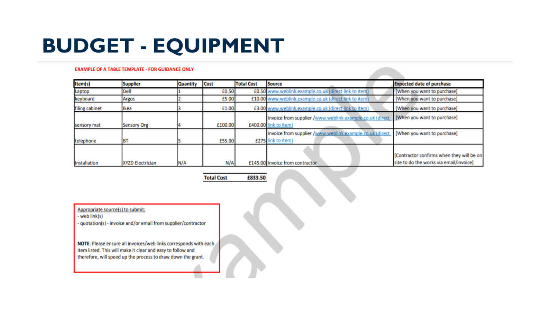### **BUDGET - EQUIPMENT**

#### **EXAMPLE OF A TABLE TEMPLATE - FOR GUIDANCE ONLY**

| Item(s)             | <b>Supplier</b>         | <b>Quantity</b> | <b>Cost</b> | <b>Total Cost</b> | <b>Source</b>                                            | <b>Expected date of purchase</b>          |
|---------------------|-------------------------|-----------------|-------------|-------------------|----------------------------------------------------------|-------------------------------------------|
| Laptop              | <b>Dell</b>             |                 | £0.50       |                   | £0.50 www.weblink.example.co.uk (direct link to item)    | [When you want to purchase]               |
| keyboard            | Argos                   |                 | £5.00       |                   | £10.00 www.weblink.example.co.uk (direct link to item)   | [When you want to purchase]               |
| filing cabinet      | Ikea                    |                 | £1.00       |                   | £3.00 www.weblink.example.co.uk (direct link to item)    | [When you want to purchase]               |
|                     |                         |                 |             |                   | Invoice from supplier /www.weblink.example.co.uk (direct | [When you want to purchase]               |
| sensory mat         | <b>Sensory Org</b>      |                 | £100.00     |                   | £400.00 link to item)                                    |                                           |
|                     |                         |                 |             |                   | Invoice from supplier /www.weblink.example.co.uk (direct | [When you want to purchase]               |
| telephone           | BT                      |                 | £55.00      |                   | £275 link to item)                                       |                                           |
|                     |                         |                 |             |                   |                                                          |                                           |
|                     |                         |                 |             |                   |                                                          | [Contractor confirms when they will be on |
| <b>Installation</b> | <b>XYZD Electrician</b> | N/A             | N/A         |                   | £145.00 Invoice from contractor                          | site to do the works via email/invoice]   |

£833.50 **Total Cost** 

Appropriate source(s) to submit:

- web link(s)

- quotation(s) - invoice and/or email from supplier/contractor

NOTE: Please ensure all invoices/web links corresponds with each item listed. This will make it clear and easy to follow and therefore, will speed up the process to draw down the grant.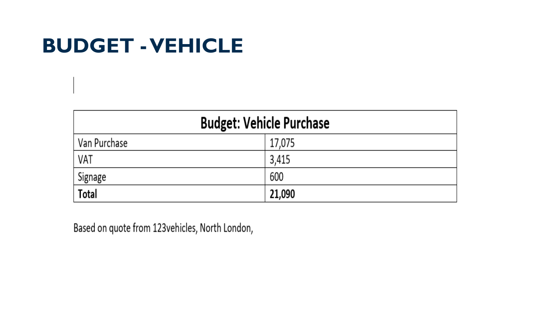#### **BUDGET -VEHICLE**

| <b>Budget: Vehicle Purchase</b> |        |  |  |  |
|---------------------------------|--------|--|--|--|
| Van Purchase                    | 17,075 |  |  |  |
| VAT                             | 3,415  |  |  |  |
| Signage                         | 600    |  |  |  |
| <b>Total</b>                    | 21,090 |  |  |  |

Based on quote from 123vehicles, North London,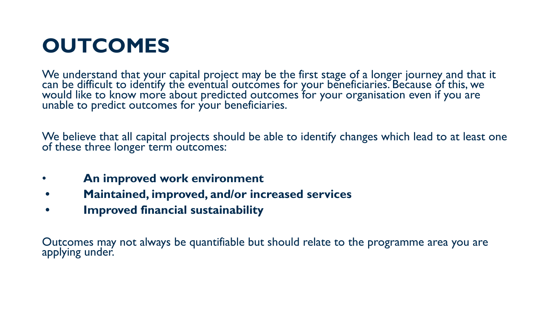### **OUTCOMES**

We understand that your capital project may be the first stage of a longer journey and that it can be difficult to identify the eventual outcomes for your beneficiaries. Because of this, we would like to know more about predicted outcomes for your organisation even if you are unable to predict outcomes for your beneficiaries.

We believe that all capital projects should be able to identify changes which lead to at least one of these three longer term outcomes:

- **An improved work environment**
- **• Maintained, improved, and/or increased services**
- **• Improved financial sustainability**

Outcomes may not always be quantifiable but should relate to the programme area you are applying under.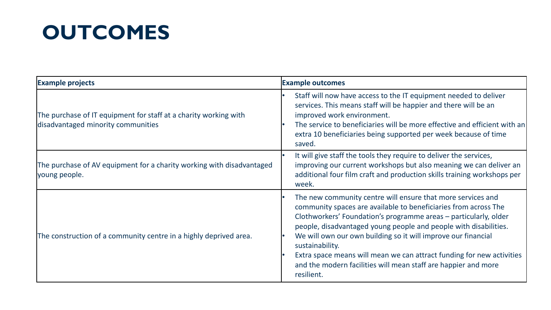# **OUTCOMES**

| <b>Example projects</b>                                                                                | <b>Example outcomes</b>                                                                                                                                                                                                                                                                                                                                                                                                                                                                                             |  |  |
|--------------------------------------------------------------------------------------------------------|---------------------------------------------------------------------------------------------------------------------------------------------------------------------------------------------------------------------------------------------------------------------------------------------------------------------------------------------------------------------------------------------------------------------------------------------------------------------------------------------------------------------|--|--|
| The purchase of IT equipment for staff at a charity working with<br>disadvantaged minority communities | Staff will now have access to the IT equipment needed to deliver<br>services. This means staff will be happier and there will be an<br>improved work environment.<br>The service to beneficiaries will be more effective and efficient with an<br>extra 10 beneficiaries being supported per week because of time<br>saved.                                                                                                                                                                                         |  |  |
| The purchase of AV equipment for a charity working with disadvantaged<br>young people.                 | It will give staff the tools they require to deliver the services,<br>improving our current workshops but also meaning we can deliver an<br>additional four film craft and production skills training workshops per<br>week.                                                                                                                                                                                                                                                                                        |  |  |
| The construction of a community centre in a highly deprived area.                                      | The new community centre will ensure that more services and<br>community spaces are available to beneficiaries from across The<br>Clothworkers' Foundation's programme areas – particularly, older<br>people, disadvantaged young people and people with disabilities.<br>We will own our own building so it will improve our financial<br>sustainability.<br>Extra space means will mean we can attract funding for new activities<br>and the modern facilities will mean staff are happier and more<br>resilient. |  |  |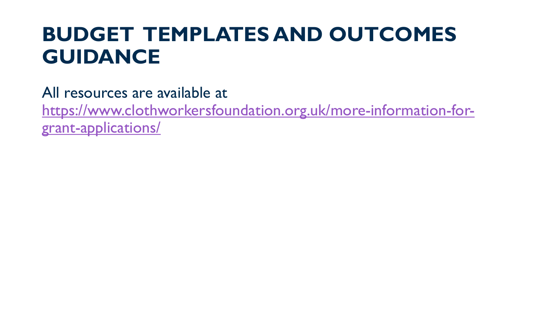#### **BUDGET TEMPLATES AND OUTCOMES GUIDANCE**

All resources are available at [https://www.clothworkersfoundation.org.uk/more-information-for](https://www.clothworkersfoundation.org.uk/more-information-for-grant-applications/)[grant-applications/](https://www.clothworkersfoundation.org.uk/more-information-for-grant-applications/)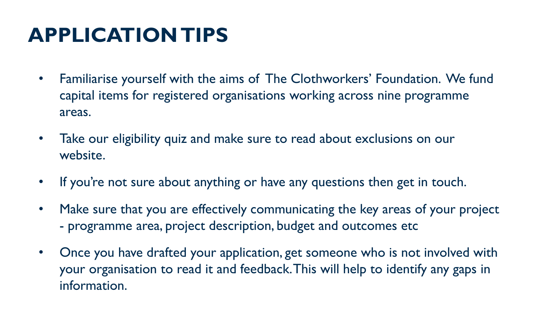# **APPLICATION TIPS**

- Familiarise yourself with the aims of The Clothworkers' Foundation. We fund capital items for registered organisations working across nine programme areas.
- Take our eligibility quiz and make sure to read about exclusions on our website.
- If you're not sure about anything or have any questions then get in touch.
- Make sure that you are effectively communicating the key areas of your project - programme area, project description, budget and outcomes etc
- Once you have drafted your application, get someone who is not involved with your organisation to read it and feedback. This will help to identify any gaps in information.